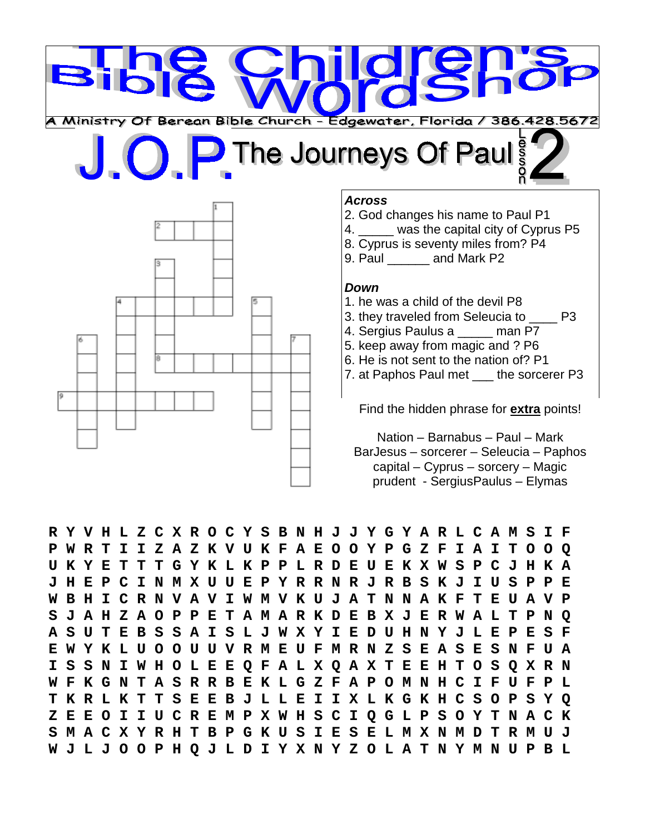

# The Journeys Of Paul



### *Across*

- 2. God changes his name to Paul P1
- 4. was the capital city of Cyprus P5
- 8. Cyprus is seventy miles from? P4
- 9. Paul and Mark P2

### *Down*

- 1. he was a child of the devil P8
- 3. they traveled from Seleucia to \_\_\_\_ P3
- 4. Sergius Paulus a \_\_\_\_\_ man P7
- 5. keep away from magic and ? P6
- 6. He is not sent to the nation of? P1

7. at Paphos Paul met the sorcerer P3

Find the hidden phrase for **extra** points!

Nation – Barnabus – Paul – Mark BarJesus – sorcerer – Seleucia – Paphos capital – Cyprus – sorcery – Magic prudent - SergiusPaulus – Elymas

**R Y V H L Z C X R O C Y S B N H J J Y G Y A R L C A M S I F P W R T I I Z A Z K V U K F A E O O Y P G Z F I A I T O O Q U K Y E T T T G Y K L K P P L R D E U E K X W S P C J H K A J H E P C I N M X U U E P Y R R N R J R B S K J I U S P P E W B H I C R N V A V I W M V K U J A T N N A K F T E U A V P S J A H Z A O P P E T A M A R K D E B X J E R W A L T P N Q A S U T E B S S A I S L J W X Y I E D U H N Y J L E P E S F E W Y K L U O O U U V R M E U F M R N Z S E A S E S N F U A I S S N I W H O L E E Q F A L X Q A X T E E H T O S Q X R N W F K G N T A S R R B E K L G Z F A P O M N H C I F U F P L T K R L K T T S E E B J L L E I I X L K G K H C S O P S Y Q Z E E O I I U C R E M P X W H S C I Q G L P S O Y T N A C K S M A C X Y R H T B P G K U S I E S E L M X N M D T R M U J W J L J O O P H Q J L D I Y X N Y Z O L A T N Y M N U P B L**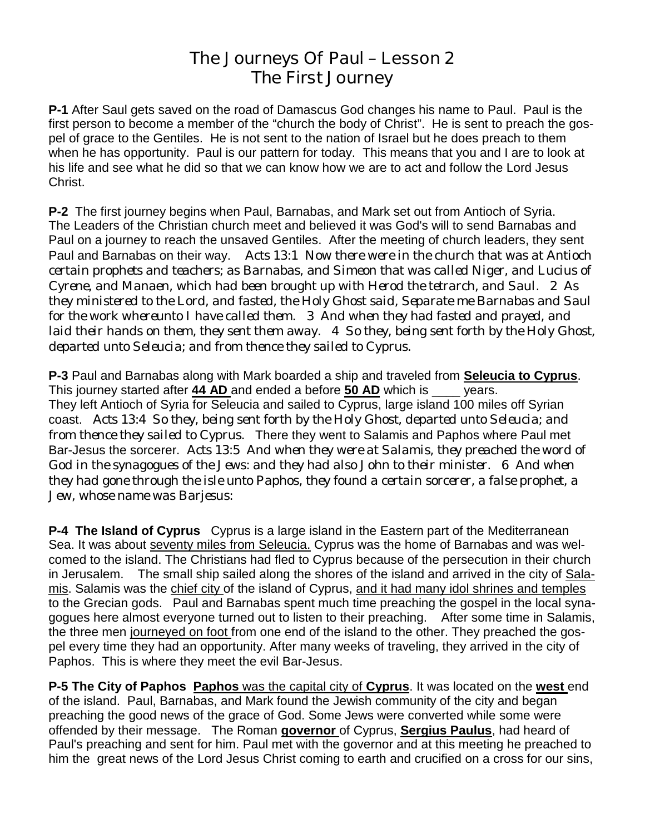# **The Journeys Of Paul – Lesson 2 The First Journey**

**P-1** After Saul gets saved on the road of Damascus God changes his name to Paul. Paul is the first person to become a member of the "church the body of Christ". He is sent to preach the gospel of grace to the Gentiles. He is not sent to the nation of Israel but he does preach to them when he has opportunity. Paul is our pattern for today. This means that you and I are to look at his life and see what he did so that we can know how we are to act and follow the Lord Jesus Christ.

**P-2** The first journey begins when Paul, Barnabas, and Mark set out from Antioch of Syria. The Leaders of the Christian church meet and believed it was God's will to send Barnabas and Paul on a journey to reach the unsaved Gentiles. After the meeting of church leaders, they sent Paul and Barnabas on their way. *Acts 13:1 Now there were in the church that was at Antioch certain prophets and teachers; as Barnabas, and Simeon that was called Niger, and Lucius of Cyrene, and Manaen, which had been brought up with Herod the tetrarch, and Saul. 2 As they ministered to the Lord, and fasted, the Holy Ghost said, Separate me Barnabas and Saul for the work whereunto I have called them. 3 And when they had fasted and prayed, and laid their hands on them, they sent them away. 4 So they, being sent forth by the Holy Ghost, departed unto Seleucia; and from thence they sailed to Cyprus.*

**P-3** Paul and Barnabas along with Mark boarded a ship and traveled from **Seleucia to Cyprus**. This journey started after **44 AD** and ended a before **50 AD** which is \_\_\_\_ years. They left Antioch of Syria for Seleucia and sailed to Cyprus, large island 100 miles off Syrian coast. *Acts 13:4 So they, being sent forth by the Holy Ghost, departed unto Seleucia; and from thence they sailed to Cyprus.* There they went to Salamis and Paphos where Paul met Bar-Jesus the sorcerer. *Acts 13:5 And when they were at Salamis, they preached the word of God in the synagogues of the Jews: and they had also John to their minister. 6 And when they had gone through the isle unto Paphos, they found a certain sorcerer, a false prophet, a Jew, whose name was Barjesus:* 

**P-4 The Island of Cyprus** Cyprus is a large island in the Eastern part of the Mediterranean Sea. It was about seventy miles from Seleucia. Cyprus was the home of Barnabas and was welcomed to the island. The Christians had fled to Cyprus because of the persecution in their church in Jerusalem. The small ship sailed along the shores of the island and arrived in the city of Salamis. Salamis was the chief city of the island of Cyprus, and it had many idol shrines and temples to the Grecian gods. Paul and Barnabas spent much time preaching the gospel in the local synagogues here almost everyone turned out to listen to their preaching. After some time in Salamis, the three men journeyed on foot from one end of the island to the other. They preached the gospel every time they had an opportunity. After many weeks of traveling, they arrived in the city of Paphos. This is where they meet the evil Bar-Jesus.

**P-5 The City of Paphos Paphos** was the capital city of **Cyprus**. It was located on the **west** end of the island. Paul, Barnabas, and Mark found the Jewish community of the city and began preaching the good news of the grace of God. Some Jews were converted while some were offended by their message. The Roman **governor** of Cyprus, **Sergius Paulus**, had heard of Paul's preaching and sent for him. Paul met with the governor and at this meeting he preached to him the great news of the Lord Jesus Christ coming to earth and crucified on a cross for our sins,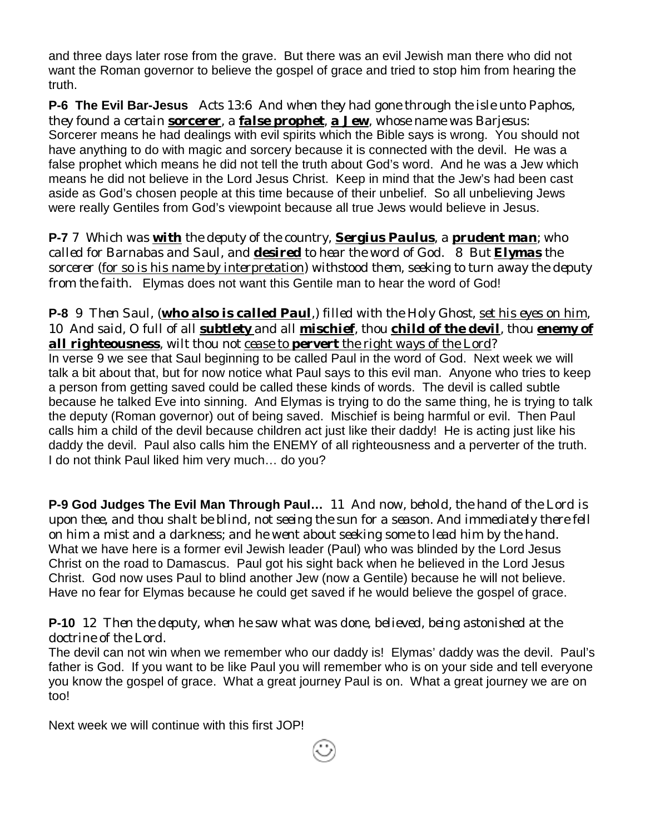and three days later rose from the grave. But there was an evil Jewish man there who did not want the Roman governor to believe the gospel of grace and tried to stop him from hearing the truth.

**P-6 The Evil Bar-Jesus** *Acts 13:6 And when they had gone through the isle unto Paphos, they found a certain sorcerer, a false prophet, a Jew, whose name was Barjesus:*  Sorcerer means he had dealings with evil spirits which the Bible says is wrong. You should not have anything to do with magic and sorcery because it is connected with the devil. He was a false prophet which means he did not tell the truth about God's word. And he was a Jew which means he did not believe in the Lord Jesus Christ. Keep in mind that the Jew's had been cast aside as God's chosen people at this time because of their unbelief. So all unbelieving Jews were really Gentiles from God's viewpoint because all true Jews would believe in Jesus.

**P-7** *7 Which was with the deputy of the country, Sergius Paulus, a prudent man; who called for Barnabas and Saul, and desired to hear the word of God. 8 But Elymas the sorcerer (for so is his name by interpretation) withstood them, seeking to turn away the deputy from the faith.* Elymas does not want this Gentile man to hear the word of God!

## **P-8** *9 Then Saul, (who also is called Paul,) filled with the Holy Ghost, set his eyes on him, 10 And said, O full of all subtlety and all mischief, thou child of the devil, thou enemy of all righteousness, wilt thou not cease to pervert the right ways of the Lord?*

In verse 9 we see that Saul beginning to be called Paul in the word of God. Next week we will talk a bit about that, but for now notice what Paul says to this evil man. Anyone who tries to keep a person from getting saved could be called these kinds of words. The devil is called subtle because he talked Eve into sinning. And Elymas is trying to do the same thing, he is trying to talk the deputy (Roman governor) out of being saved. Mischief is being harmful or evil. Then Paul calls him a child of the devil because children act just like their daddy! He is acting just like his daddy the devil. Paul also calls him the ENEMY of all righteousness and a perverter of the truth. I do not think Paul liked him very much… do you?

**P-9 God Judges The Evil Man Through Paul…** *11 And now, behold, the hand of the Lord is upon thee, and thou shalt be blind, not seeing the sun for a season. And immediately there fell on him a mist and a darkness; and he went about seeking some to lead him by the hand.*  What we have here is a former evil Jewish leader (Paul) who was blinded by the Lord Jesus Christ on the road to Damascus. Paul got his sight back when he believed in the Lord Jesus Christ. God now uses Paul to blind another Jew (now a Gentile) because he will not believe. Have no fear for Elymas because he could get saved if he would believe the gospel of grace.

## **P-10** *12 Then the deputy, when he saw what was done, believed, being astonished at the doctrine of the Lord.*

The devil can not win when we remember who our daddy is! Elymas' daddy was the devil. Paul's father is God. If you want to be like Paul you will remember who is on your side and tell everyone you know the gospel of grace. What a great journey Paul is on. What a great journey we are on too!

Next week we will continue with this first JOP!